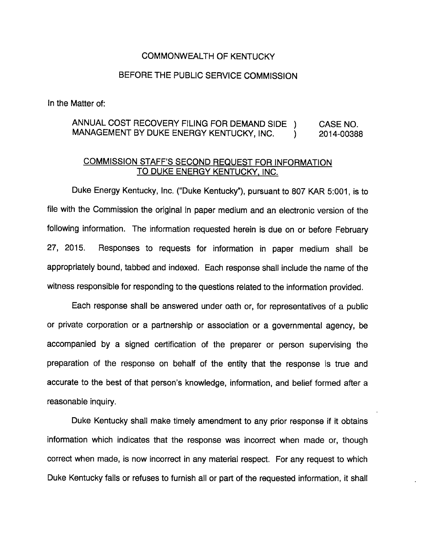## COMMONWEALTH OF KENTUCKY

## BEFORE THE PUBLIC SERVICE COMMISSION

In the Matter of:

## ANNUAL COST RECOVERY FILING FOR DEMAND SIDE ) CASE NO. MANAGEMENT BY DUKE ENERGY KENTUCKY, INC.  $\qquad$  ) 2014-00388

## COMMISSION STAFF'S SECOND REQUEST FOR INFORMATION TO DUKE ENERGY KENTUCKY. INC.

Duke Energy Kentucky, Inc. ("Duke Kentucky"), pursuant to 807 KAR 5:001, is to file with the Commission the original in paper medium and an electronic version of the following information. The information requested herein is due on or before February 27, 2015. Responses to requests for information in paper medium shall be appropriately bound, tabbed and indexed. Each response shall include the name of the witness responsible for responding to the questions related to the information provided.

Each response shall be answered under oath or, for representatives of a public or private corporation or a partnership or association or a governmental agency, be accompanied by a signed certification of the preparer or person supervising the preparation of the response on behalf of the entity that the response is true and accurate to the best of that person's knowledge, information, and belief formed after a reasonable inquiry.

Duke Kentucky shall make timely amendment to any prior response if it obtains information which indicates that the response was incorrect when made or, though correct when made, is now incorrect in any material respect. For any request to which Duke Kentucky fails or refuses to furnish all or part of the requested information, it shall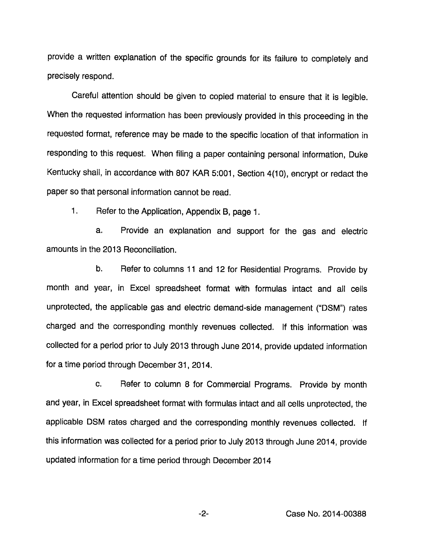provide a written explanation of the specific grounds for its failure to completely and precisely respond.

Careful attention should be given to copied material to ensure that it is legible. When the requested information has been previously provided in this proceeding in the requested format, reference may be made to the specific location of that information in responding to this request. When filing a paper containing personal information, Duke Kentucky shall, in accordance with 807 KAR 5:001, Section 4(10), encrypt or redact the paper so that personal information cannot be read.

1. Refer to the Application, Appendix B, page 1.

a. Provide an explanation and support for the gas and electric amounts in the 2013 Reconciliation.

b. Refer to columns 11 and 12 for Residential Programs. Provide by month and year, in Excel spreadsheet format with formulas intact and all cells unprotected, the applicable gas and electric demand-side management ("DSM") rates charged and the corresponding monthly revenues collected. If this information was collected for a period prior to July 2013 through June 2014, provide updated information for a time period through December 31, 2014.

c. Refer to column 8 for Commercial Programs. Provide by month and year, in Excel spreadsheet format with formulas intact and all cells unprotected, the applicable DSM rates charged and the corresponding monthly revenues collected. If this information was collected for a period prior to July 2013 through June 2014, provide updated information for a time period through December 2014

 $-2-$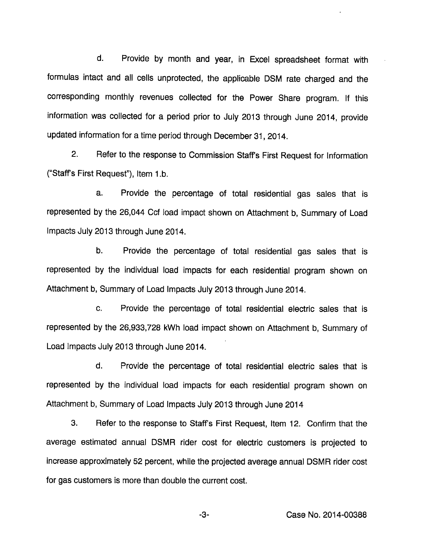d. Provide by month and year, in Excel spreadsheet format with formulas intact and all cells unprotected, the applicable DSM rate charged and the corresponding monthly revenues collected for the Power Share program. If this Information was collected for a period prior to July 2013 through June 2014, provide updated information for a time period through December 31, 2014.

2. Refer to the response to Commission Staffs First Request for Information ("Staff's First Request"), Item 1.b.

a. Provide the percentage of total residential gas sales that is represented by the 26,044 Ccf load Impact shown on Attachment b. Summary of Load Impacts July 2013 through June 2014.

b. Provide the percentage of total residential gas sales that is represented by the individual load impacts for each residential program shown on Attachment b. Summary of Load Impacts July 2013 through June 2014.

c. Provide the percentage of total residential electric sales that is represented by the 26,933,728 kWh load Impact shown on Attachment b. Summary of Load Impacts July 2013 through June 2014.

d. Provide the percentage of total residential electric sales that is represented by the individual load impacts for each residential program shown on Attachment b. Summary of Load Impacts July 2013 through June 2014

3. Refer to the response to Staffs First Request, Item 12. Confirm that the average estimated annual DSMR rider cost for electric customers is projected to Increase approximately 52 percent, while the projected average annual DSMR rider cost for gas customers is more than double the current cost.

-3- Case No. 2014-00388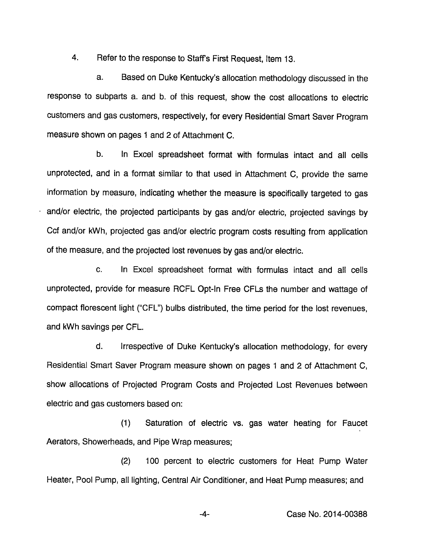4. Refer to the response to Staff's First Request, Item 13.

a. Based on Duke Kentucky's allocation methodology discussed in the response to subparts a. and b. of this request, show the cost allocations to electric customers and gas customers, respectively, for every Residential Smart Saver Program measure shown on pages 1 and 2 of Attachment C.

b. In Excel spreadsheet format with formulas intact and all cells unprotected, and in a format similar to that used in Attachment C, provide the same information by measure, indicating whether the measure is specifically targeted to gas and/or electric, the projected participants by gas and/or electric, projected savings by Ccf and/or kWh, projected gas and/or electric program costs resulting from application of the measure, and the projected lost revenues by gas and/or electric.

c. In Excel spreadsheet format with formulas intact and all cells unprotected, provide for measure RCFL Opt-In Free CFLs the number and wattage of compact florescent light ("CFL") bulbs distributed, the time period for the lost revenues, and kWh savings per CFL.

d. Irrespective of Duke Kentucky's allocation methodology, for every Residential Smart Saver Program measure shown on pages 1 and 2 of Attachment C, show allocations of Projected Program Costs and Projected Lost Revenues between electric and gas customers based on:

(1) Saturation of electric vs. gas water heating for Faucet Aerators, Showerheads, and Pipe Wrap measures;

(2) 100 percent to electric customers for Heat Pump Water Heater, Pool Pump, all lighting. Central Air Conditioner, and Heat Pump measures; and

-4- Case No. 2014-00388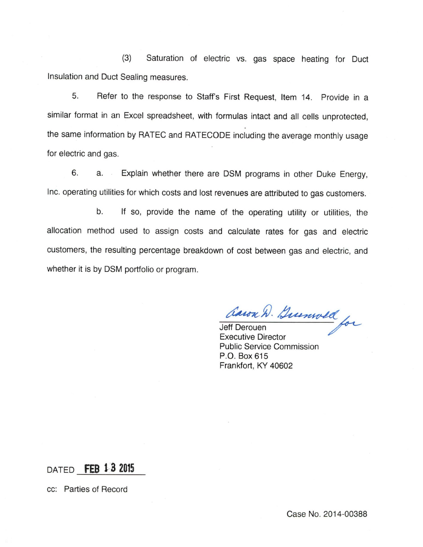(3) Saturation of electric vs. gas space heating for Duct insulation and Duct Sealing measures.

5. Refer to the response to Staffs First Request, Item 14. Provide in a similar format in an Excel spreadsheet, with formulas intact and all cells unprotected, the same information by RATEC and RATECODE including the average monthly usage for electric and gas.

6. a. Explain whether there are DSM programs in other Duke Energy, Inc. operating utilities for which costs and lost revenues are attributed to gas customers.

b. If so, provide the name of the operating utility or utilities, the allocation method used to assign costs and calculate rates for gas and electric customers, the resulting percentage breakdown of cost between gas and electric, and whether it is by DSM portfolio or program.

— Jeff Derouen Executive Director Public Service Commission P.O. Box 615 Frankfort, KY 40602

DATED FEB 13 2015

cc: Parties of Record